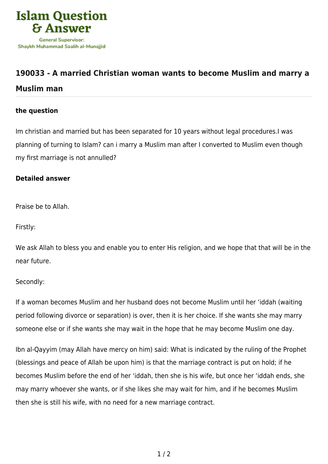

# **[190033 - A married Christian woman wants to become Muslim and marry a](https://islamqa.com/en/answers/190033/a-married-christian-woman-wants-to-become-muslim-and-marry-a-muslim-man)**

## **[Muslim man](https://islamqa.com/en/answers/190033/a-married-christian-woman-wants-to-become-muslim-and-marry-a-muslim-man)**

### **the question**

Im christian and married but has been separated for 10 years without legal procedures.I was planning of turning to Islam? can i marry a Muslim man after I converted to Muslim even though my first marriage is not annulled?

### **Detailed answer**

Praise be to Allah.

Firstly:

We ask Allah to bless you and enable you to enter His religion, and we hope that that will be in the near future.

#### Secondly:

If a woman becomes Muslim and her husband does not become Muslim until her 'iddah (waiting period following divorce or separation) is over, then it is her choice. If she wants she may marry someone else or if she wants she may wait in the hope that he may become Muslim one day.

Ibn al-Qayyim (may Allah have mercy on him) said: What is indicated by the ruling of the Prophet (blessings and peace of Allah be upon him) is that the marriage contract is put on hold; if he becomes Muslim before the end of her 'iddah, then she is his wife, but once her 'iddah ends, she may marry whoever she wants, or if she likes she may wait for him, and if he becomes Muslim then she is still his wife, with no need for a new marriage contract.